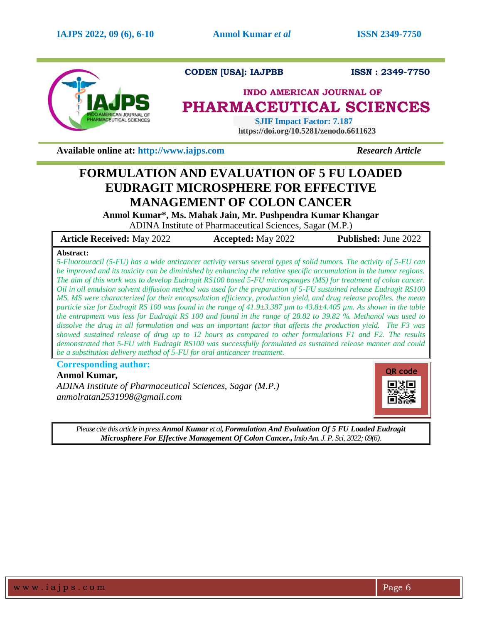

**CODEN [USA]: IAJPBB ISSN : 2349-7750** 

# **INDO AMERICAN JOURNAL OF PHARMACEUTICAL SCIENCES**

 **SJIF Impact Factor: 7.187 https://doi.org/10.5281/zenodo.6611623**

**Available online at: [http://www.iajps.com](http://www.iajps.com/)** *Research Article*

# **FORMULATION AND EVALUATION OF 5 FU LOADED EUDRAGIT MICROSPHERE FOR EFFECTIVE MANAGEMENT OF COLON CANCER**

**Anmol Kumar\*, Ms. Mahak Jain, Mr. Pushpendra Kumar Khangar**

ADINA Institute of Pharmaceutical Sciences, Sagar (M.P.)

| <b>Article Received: May 2022</b> | <b>Accepted:</b> May 2022 | <b>Published:</b> June 2022 |
|-----------------------------------|---------------------------|-----------------------------|
| $\cdots$                          |                           |                             |

## **Abstract:**

*5-Fluorouracil (5-FU) has a wide anticancer activity versus several types of solid tumors. The activity of 5-FU can be improved and its toxicity can be diminished by enhancing the relative specific accumulation in the tumor regions. The aim of this work was to develop Eudragit RS100 based 5-FU microsponges (MS) for treatment of colon cancer. Oil in oil emulsion solvent diffusion method was used for the preparation of 5-FU sustained release Eudragit RS100 MS. MS were characterized for their encapsulation efficiency, production yield, and drug release profiles. the mean particle size for Eudragit RS 100 was found in the range of 41.9±3.387 µm to 43.8±4.405 µm. As shown in the table the entrapment was less for Eudragit RS 100 and found in the range of 28.82 to 39.82 %. Methanol was used to dissolve the drug in all formulation and was an important factor that affects the production yield. The F3 was showed sustained release of drug up to 12 hours as compared to other formulations F1 and F2. The results demonstrated that 5-FU with Eudragit RS100 was successfully formulated as sustained release manner and could be a substitution delivery method of 5-FU for oral anticancer treatment.*

# **Corresponding author:**

## **Anmol Kumar,**

*ADINA Institute of Pharmaceutical Sciences, Sagar (M.P.) anmolratan2531998@gmail.com*



*Please cite this article in pressAnmol Kumar et al,Formulation And Evaluation Of 5 FU Loaded Eudragit Microsphere For Effective Management Of Colon Cancer.,Indo Am. J. P. Sci, 2022; 09(6).*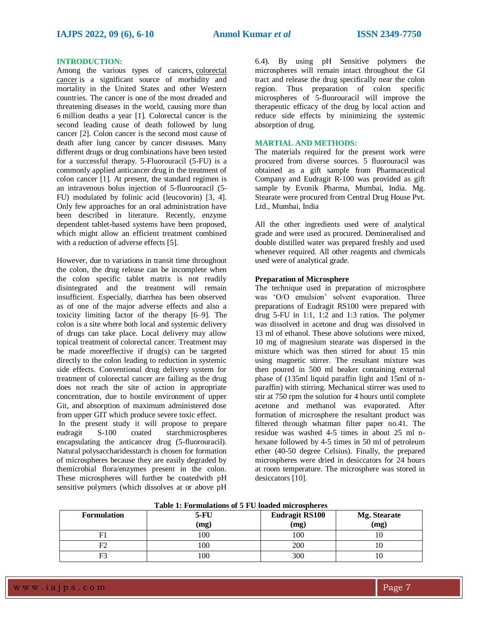#### **INTRODUCTION:**

Among the various types of cancers, [colorectal](https://www.sciencedirect.com/topics/pharmacology-toxicology-and-pharmaceutical-science/colorectal-cancer)  [cancer](https://www.sciencedirect.com/topics/pharmacology-toxicology-and-pharmaceutical-science/colorectal-cancer) is a significant source of morbidity and mortality in the United States and other Western countries. The cancer is one of the most dreaded and threatening diseases in the world, causing more than 6 million deaths a year [1]. Colorectal cancer is the second leading cause of death followed by lung cancer [2]. Colon cancer is the second most cause of death after lung cancer by cancer diseases. Many different drugs or drug combinations have been tested for a successful therapy. 5-Fluorouracil (5-FU) is a commonly applied anticancer drug in the treatment of colon cancer [1]. At present, the standard regimen is an intravenous bolus injection of 5-fluorouracil (5- FU) modulated by folinic acid (leucovorin) [3, 4]. Only few approaches for an oral administration have been described in literature. Recently, enzyme dependent tablet-based systems have been proposed, which might allow an efficient treatment combined with a reduction of adverse effects [5].

However, due to variations in transit time throughout the colon, the drug release can be incomplete when the colon specific tablet matrix is not readily disintegrated and the treatment will remain insufficient. Especially, diarrhea has been observed as of one of the major adverse effects and also a toxicity limiting factor of the therapy [6–9]. The colon is a site where both local and systemic delivery of drugs can take place. Local delivery may allow topical treatment of colorectal cancer. Treatment may be made moreeffective if drug(s) can be targeted directly to the colon leading to reduction in systemic side effects. Conventional drug delivery system for treatment of colorectal cancer are failing as the drug does not reach the site of action in appropriate concentration, due to hostile environment of upper Git, and absorption of maximum administered dose from upper GIT which produce severe toxic effect.

In the present study it will propose to prepare eudragit S-100 coated starchmicrospheres encapsulating the anticancer drug (5-fluorouracil). Natural polysaccharidesstarch is chosen for formation of microspheres because they are easily degraded by themicrobial flora/enzymes present in the colon. These microspheres will further be coatedwith pH sensitive polymers (which dissolves at or above pH

6.4). By using pH Sensitive polymers the microspheres will remain intact throughout the GI tract and release the drug specifically near the colon region. Thus preparation of colon specific microspheres of 5-fluorouracil will improve the therapeutic efficacy of the drug by local action and reduce side effects by minimizing the systemic absorption of drug.

#### **MARTIAL AND METHODS:**

The materials required for the present work were procured from diverse sources. 5 fluorouracil was obtained as a gift sample from Pharmaceutical Company and Eudragit R‑100 was provided as gift sample by Evonik Pharma, Mumbai, India. Mg. Stearate were procured from Central Drug House Pvt. Ltd., Mumbai, India

All the other ingredients used were of analytical grade and were used as procured. Demineralised and double distilled water was prepared freshly and used whenever required. All other reagents and chemicals used were of analytical grade.

#### **Preparation of Microsphere**

The technique used in preparation of microsphere was 'O/O emulsion' solvent evaporation. Three preparations of Eudragit RS100 were prepared with drug 5-FU in 1:1, 1:2 and 1:3 ratios. The polymer was dissolved in acetone and drug was dissolved in 13 ml of ethanol. These above solutions were mixed, 10 mg of magnesium stearate was dispersed in the mixture which was then stirred for about 15 min using magnetic stirrer. The resultant mixture was then poured in 500 ml beaker containing external phase of (135ml liquid paraffin light and 15ml of nparaffin) with stirring. Mechanical stirrer was used to stir at 750 rpm the solution for 4 hours until complete acetone and methanol was evaporated. After formation of microsphere the resultant product was filtered through whatman filter paper no.41. The residue was washed 4-5 times in about 25 ml nhexane followed by 4-5 times in 50 ml of petroleum ether (40-50 degree Celsius). Finally, the prepared microspheres were dried in desiccators for 24 hours at room temperature. The microsphere was stored in desiccators [10].

| <b>Formulation</b> | <b>5-FU</b><br>(mg) | <b>Eudragit RS100</b><br>(mg) | Mg. Stearate<br>(mg) |
|--------------------|---------------------|-------------------------------|----------------------|
| F                  | 100                 | 100                           |                      |
|                    | 100                 | 200                           |                      |
| F3                 | 100                 | 300                           |                      |

**Table 1: Formulations of 5 FU loaded microspheres**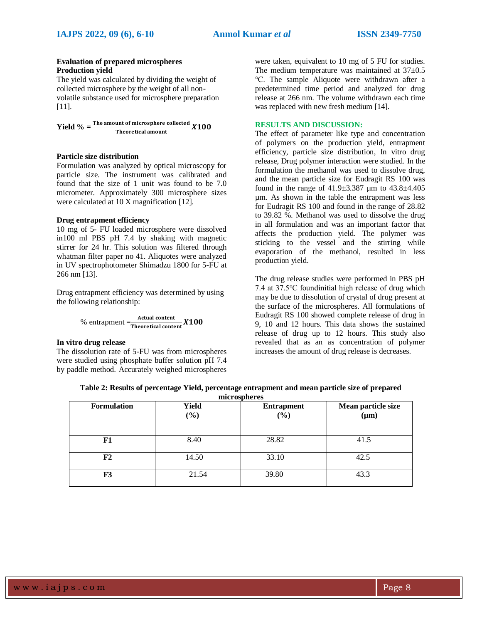### **Evaluation of prepared microspheres Production yield**

The yield was calculated by dividing the weight of collected microsphere by the weight of all nonvolatile substance used for microsphere preparation [11].

**Yield**  $\% = \frac{\text{The amount of microsphere collected}}{\text{Theoretical amount}} X100$ Theoretical amount

#### **Particle size distribution**

Formulation was analyzed by optical microscopy for particle size. The instrument was calibrated and found that the size of 1 unit was found to be 7.0 micrometer. Approximately 300 microsphere sizes were calculated at 10 X magnification [12].

### **Drug entrapment efficiency**

10 mg of 5- FU loaded microsphere were dissolved in100 ml PBS pH 7.4 by shaking with magnetic stirrer for 24 hr. This solution was filtered through whatman filter paper no 41. Aliquotes were analyzed in UV spectrophotometer Shimadzu 1800 for 5-FU at 266 nm [13].

Drug entrapment efficiency was determined by using the following relationship:

$$
\% \text{ entrapment} = \frac{\text{Actual content}}{\text{Theoretical content}} \textbf{X100}
$$

#### **In vitro drug release**

The dissolution rate of 5-FU was from microspheres were studied using phosphate buffer solution pH 7.4 by paddle method. Accurately weighed microspheres were taken, equivalent to 10 mg of 5 FU for studies. The medium temperature was maintained at  $37\pm0.5$ ℃. The sample Aliquote were withdrawn after a predetermined time period and analyzed for drug release at 266 nm. The volume withdrawn each time was replaced with new fresh medium [14].

### **RESULTS AND DISCUSSION:**

The effect of parameter like type and concentration of polymers on the production yield, entrapment efficiency, particle size distribution, In vitro drug release, Drug polymer interaction were studied. In the formulation the methanol was used to dissolve drug, and the mean particle size for Eudragit RS 100 was found in the range of  $41.9 \pm 3.387$  µm to  $43.8 \pm 4.405$ µm. As shown in the table the entrapment was less for Eudragit RS 100 and found in the range of 28.82 to 39.82 %. Methanol was used to dissolve the drug in all formulation and was an important factor that affects the production yield. The polymer was sticking to the vessel and the stirring while evaporation of the methanol, resulted in less production yield.

The drug release studies were performed in PBS pH 7.4 at 37.5℃ foundinitial high release of drug which may be due to dissolution of crystal of drug present at the surface of the microspheres. All formulations of Eudragit RS 100 showed complete release of drug in 9, 10 and 12 hours. This data shows the sustained release of drug up to 12 hours. This study also revealed that as an as concentration of polymer increases the amount of drug release is decreases.

| <b>Formulation</b> | <b>Yield</b><br>(%) | <b>Entrapment</b><br>$(\%)$ | Mean particle size<br>$(\mu m)$ |
|--------------------|---------------------|-----------------------------|---------------------------------|
| F1                 | 8.40                | 28.82                       | 41.5                            |
| F2                 | 14.50               | 33.10                       | 42.5                            |
| F3                 | 21.54               | 39.80                       | 43.3                            |

| Table 2: Results of percentage Yield, percentage entrapment and mean particle size of prepared |  |
|------------------------------------------------------------------------------------------------|--|
| miorocnhoros                                                                                   |  |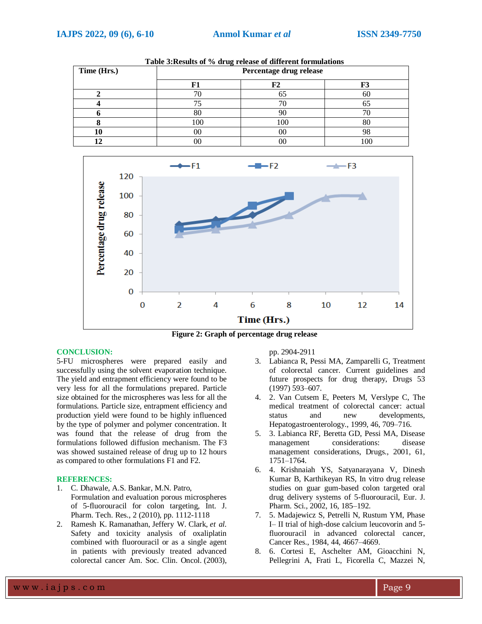| Time (Hrs.) | Percentage drug release |     |     |
|-------------|-------------------------|-----|-----|
|             |                         |     | r J |
|             |                         |     | ΟU  |
|             |                         |     |     |
|             |                         |     |     |
|             | 100                     | 100 | ðΨ  |
|             | 00                      | 00  | 70. |
|             |                         |     |     |

**Table 3:Results of % drug release of different formulations**



**Figure 2: Graph of percentage drug release**

#### **CONCLUSION:**

5-FU microspheres were prepared easily and successfully using the solvent evaporation technique. The yield and entrapment efficiency were found to be very less for all the formulations prepared. Particle size obtained for the microspheres was less for all the formulations. Particle size, entrapment efficiency and production yield were found to be highly influenced by the type of polymer and polymer concentration. It was found that the release of drug from the formulations followed diffusion mechanism. The F3 was showed sustained release of drug up to 12 hours as compared to other formulations F1 and F2.

### **REFERENCES:**

- 1. C. Dhawale, A.S. Bankar, M.N. Patro, Formulation and evaluation porous microspheres of 5-fluorouracil for colon targeting, Int. J. Pharm. Tech. Res., 2 (2010), pp. 1112-1118
- 2. Ramesh K. Ramanathan, Jeffery W. Clark, *et al.* Safety and toxicity analysis of oxaliplatin combined with fluorouracil or as a single agent in patients with previously treated advanced colorectal cancer Am. Soc. Clin. Oncol. (2003),

pp. 2904-2911

- 3. Labianca R, Pessi MA, Zamparelli G, Treatment of colorectal cancer. Current guidelines and future prospects for drug therapy, Drugs 53 (1997) 593–607.
- 4. 2. Van Cutsem E, Peeters M, Verslype C, The medical treatment of colorectal cancer: actual status and new developments, Hepatogastroenterology., 1999, 46, 709–716.
- 5. 3. Labianca RF, Beretta GD, Pessi MA, Disease management considerations: disease management considerations, Drugs., 2001, 61, 1751–1764.
- 6. 4. Krishnaiah YS, Satyanarayana V, Dinesh Kumar B, Karthikeyan RS, In vitro drug release studies on guar gum-based colon targeted oral drug delivery systems of 5-fluorouracil, Eur. J. Pharm. Sci., 2002, 16, 185–192.
- 7. 5. Madajewicz S, Petrelli N, Rustum YM, Phase I– II trial of high-dose calcium leucovorin and 5 fluorouracil in advanced colorectal cancer, Cancer Res., 1984, 44, 4667–4669.
- 8. 6. Cortesi E, Aschelter AM, Gioacchini N, Pellegrini A, Frati L, Ficorella C, Mazzei N,